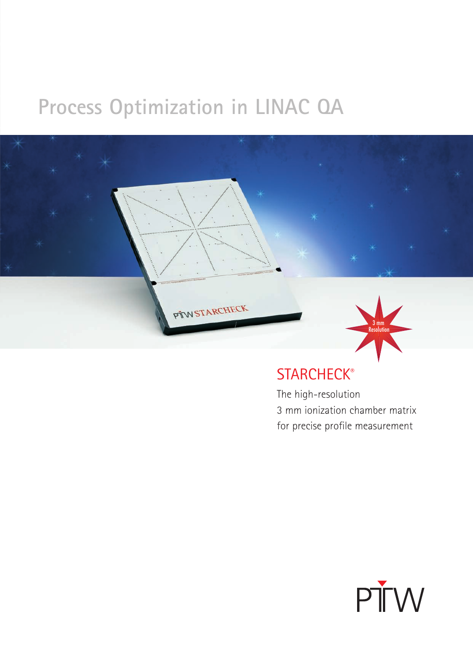# **Process Optimization in LINAC QA**



### **STARCHECK®**

The high-resolution 3 mm ionization chamber matrix for precise profile measurement

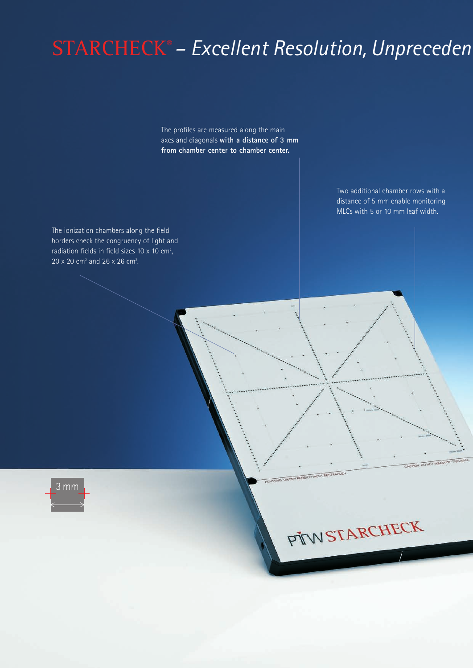# STARCHECK® *– Excellent Resolution, Unpreceden*

The profiles are measured along the main axes and diagonals **with a distance of 3 mm from chamber center to chamber center.**

> Two additional chamber rows with a distance of 5 mm enable monitoring MLCs with 5 or 10 mm leaf width.

The ionization chambers along the field borders check the congruency of light and radiation fields in field sizes  $10 \times 10$  cm<sup>2</sup>, ,  $20 \times 20$  cm<sup>2</sup> and  $26 \times 26$  cm<sup>2</sup>.



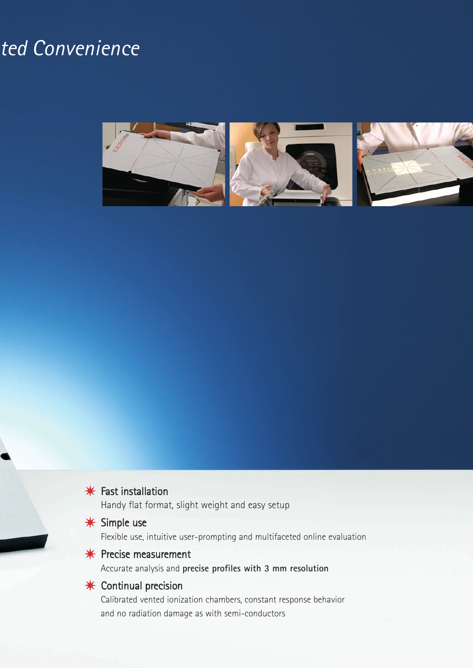## ted Convenience





Handy flat format, slight weight and easy setup

### **\*** Simple use

Flexible use, intuitive user-prompting and multifaceted online evaluation

### $*$  Precise measurement

Accurate analysis and **precise profiles with 3 mm resolution**

### $*$  Continual precision

Calibrated vented ionization chambers, constant response behavior and no radiation damage as with semi-conductors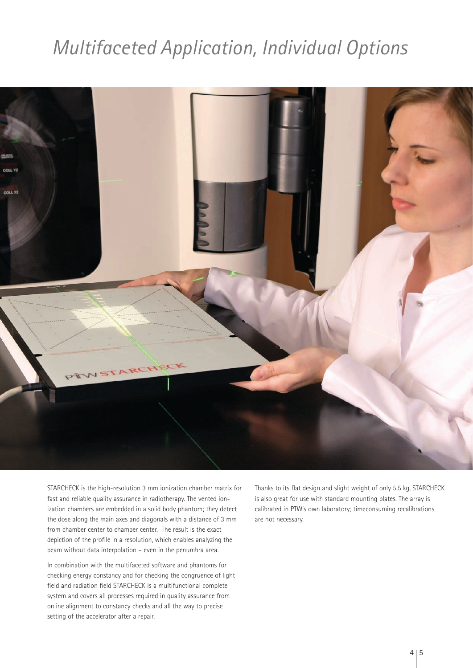## *Multifaceted Application, Individual Options*



STARCHECK is the high-resolution 3 mm ionization chamber matrix for fast and reliable quality assurance in radiotherapy. The vented ionization chambers are embedded in a solid body phantom; they detect the dose along the main axes and diagonals with a distance of 3 mm from chamber center to chamber center. The result is the exact depiction of the profile in a resolution, which enables analyzing the beam without data interpolation – even in the penumbra area.

In combination with the multifaceted software and phantoms for checking energy constancy and for checking the congruence of light field and radiation field STARCHECK is a multifunctional complete system and covers all processes required in quality assurance from online alignment to constancy checks and all the way to precise setting of the accelerator after a repair.

Thanks to its flat design and slight weight of only 5.5 kg, STARCHECK is also great for use with standard mounting plates. The array is calibrated in PTW's own laboratory; timeconsuming recalibrations are not necessary.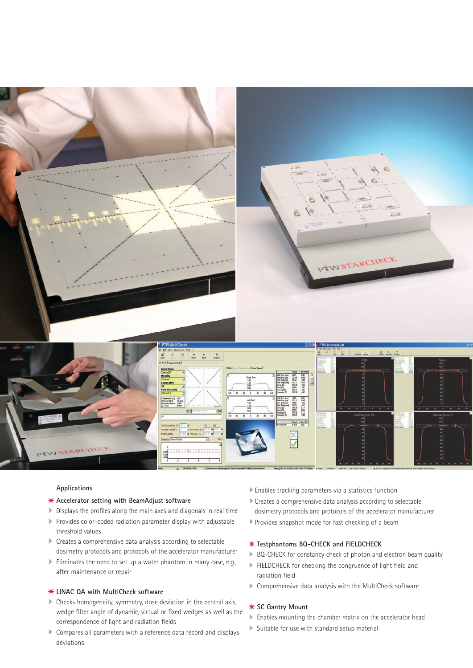

#### **Applications**

#### **Accelerator setting with BeamAdjust software**

- Displays the profiles along the main axes and diagonals in real time
- Provides color-coded radiation parameter display with adjustable threshold values
- Creates a comprehensive data analysis according to selectable dosimetry protocols and protocols of the accelerator manufacturer
- Eliminates the need to set up a water phantom in many case, e.g., after maintenance or repair

#### **LINAC QA with MultiCheck software**

- Checks homogeneity, symmetry, dose deviation in the central axis, wedge filter angle of dynamic, virtual or fixed wedges as well as the correspondence of light and radiation fields
- Compares all parameters with a reference data record and displays deviations
- Enables tracking parameters via a statistics function
- Creates a comprehensive data analysis according to selectable
- dosimetry protocols and protocols of the accelerator manufacturer
- Provides snapshot mode for fast checking of a beam

#### **Testphantoms BQ-CHECK and FIELDCHECK**

- ▶ BQ-CHECK for constancy check of photon and electron beam quality
- FIELDCHECK for checking the congruence of light field and radiation field
- Comprehensive data analysis with the MultiCheck software

#### **SC Gantry Mount**

- Enables mounting the chamber matrix on the accelerator head
- $\triangleright$  Suitable for use with standard setup material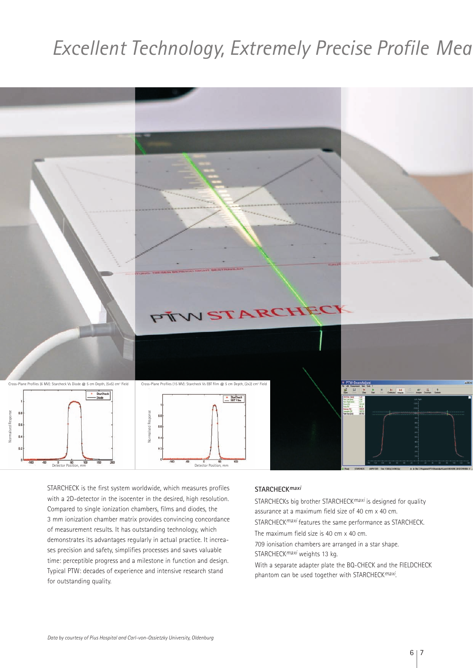## **Excellent Technology, Extremely Precise Profile Mea**



STARCHECK is the first system worldwide, which measures profiles with a 2D-detector in the isocenter in the desired, high resolution. Compared to single ionization chambers, films and diodes, the 3 mm ionization chamber matrix provides convincing concordance of measurement results. It has outstanding technology, which demonstrates its advantages regularly in actual practice. It increases precision and safety, simplifies processes and saves valuable time: perceptible progress and a milestone in function and design. Typical PTW: decades of experience and intensive research stand for outstanding quality.

#### **STARCHECKmaxi**

STARCHECKs big brother STARCHECK<sup>maxi</sup> is designed for quality assurance at a maximum field size of 40 cm x 40 cm. STARCHECK<sup>maxi</sup> features the same performance as STARCHECK.

The maximum field size is 40 cm x 40 cm.

709 ionisation chambers are arranged in a star shape. STARCHECK<sup>maxi</sup> weights 13 kg.

With a separate adapter plate the BQ-CHECK and the FIELDCHECK phantom can be used together with STARCHECKmaxi.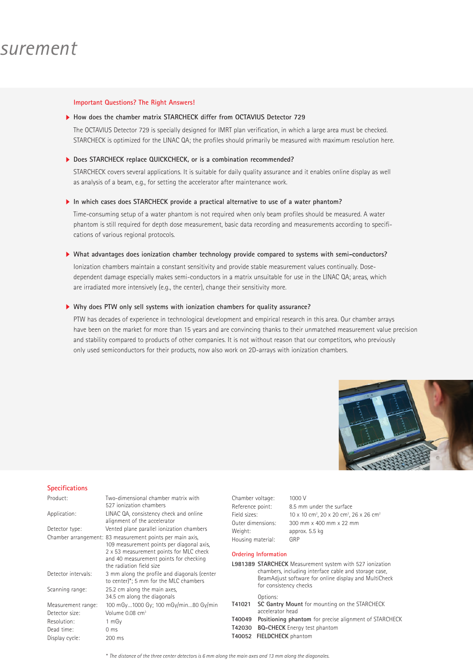### *Excellent Technology, Extremely Precise Profile Measurement*

#### **Important Questions? The Right Answers!**

#### **How does the chamber matrix STARCHECK differ from OCTAVIUS Detector 729**

The OCTAVIUS Detector 729 is specially designed for IMRT plan verification, in which a large area must be checked. STARCHECK is optimized for the LINAC QA; the profiles should primarily be measured with maximum resolution here.

#### **Does STARCHECK replace QUICKCHECK, or is a combination recommended?**

STARCHECK covers several applications. It is suitable for daily quality assurance and it enables online display as well as analysis of a beam, e.g., for setting the accelerator after maintenance work.

#### **In which cases does STARCHECK provide a practical alternative to use of a water phantom?**

Time-consuming setup of a water phantom is not required when only beam profiles should be measured. A water phantom is still required for depth dose measurement, basic data recording and measurements according to specifications of various regional protocols.

#### **What advantages does ionization chamber technology provide compared to systems with semi-conductors?**

Ionization chambers maintain a constant sensitivity and provide stable measurement values continually. Dosedependent damage especially makes semi-conductors in a matrix unsuitable for use in the LINAC QA; areas, which are irradiated more intensively (e.g., the center), change their sensitivity more.

#### **Why does PTW only sell systems with ionization chambers for quality assurance?**

PTW has decades of experience in technological development and empirical research in this area. Our chamber arrays have been on the market for more than 15 years and are convincing thanks to their unmatched measurement value precision and stability compared to products of other companies. It is not without reason that our competitors, who previously only used semiconductors for their products, now also work on 2D-arrays with ionization chambers.

 $1000$  V

phantom for precise alignment of STARCHECK



#### **Specifications**

| Product:            | Two-dimensional chamber matrix with                                                                                                                                                                                     | Chamber voltage:            |                                                                                                                                                                                                      | 1000 V                                                                                           |
|---------------------|-------------------------------------------------------------------------------------------------------------------------------------------------------------------------------------------------------------------------|-----------------------------|------------------------------------------------------------------------------------------------------------------------------------------------------------------------------------------------------|--------------------------------------------------------------------------------------------------|
|                     | 527 ionization chambers                                                                                                                                                                                                 | Reference point:            |                                                                                                                                                                                                      | 8.5 mm under the surface                                                                         |
| Application:        | LINAC QA, consistency check and online                                                                                                                                                                                  | Field sizes:                |                                                                                                                                                                                                      | $10 \times 10$ cm <sup>2</sup> , $20 \times 20$ cm <sup>2</sup> , $26 \times 26$ cm <sup>2</sup> |
|                     | alignment of the accelerator                                                                                                                                                                                            |                             | Outer dimensions:                                                                                                                                                                                    | 300 mm x 400 mm x 22 mm<br>approx. 5.5 kg                                                        |
| Detector type:      | Vented plane parallel ionization chambers                                                                                                                                                                               | Weight:                     |                                                                                                                                                                                                      |                                                                                                  |
|                     | Chamber arrangement: 83 measurement points per main axis,<br>109 measurement points per diagonal axis,<br>2 x 53 measurement points for MLC check<br>and 40 measurement points for checking<br>the radiation field size | Housing material:           |                                                                                                                                                                                                      | GRP                                                                                              |
|                     |                                                                                                                                                                                                                         | <b>Ordering Information</b> |                                                                                                                                                                                                      |                                                                                                  |
|                     |                                                                                                                                                                                                                         |                             | L981389 STARCHECK Measurement system with 527 ionization<br>chambers, including interface cable and storage case,<br>BeamAdjust software for online display and MultiCheck<br>for consistency checks |                                                                                                  |
| Detector intervals: | 3 mm along the profile and diagonals (center<br>to center)*; 5 mm for the MLC chambers                                                                                                                                  |                             |                                                                                                                                                                                                      |                                                                                                  |
| Scanning range:     | 25.2 cm along the main axes.<br>34.5 cm along the diagonals                                                                                                                                                             |                             |                                                                                                                                                                                                      |                                                                                                  |
|                     |                                                                                                                                                                                                                         |                             | Options:                                                                                                                                                                                             |                                                                                                  |
| Measurement range:  | 100 mGy1000 Gy; 100 mGy/min80 Gy/min                                                                                                                                                                                    | T41021                      | SC Gantry Mount for mounting on the STARCHECK                                                                                                                                                        |                                                                                                  |
| Detector size:      | Volume 0.08 cm <sup>3</sup>                                                                                                                                                                                             |                             | accelerator head                                                                                                                                                                                     |                                                                                                  |
| Resolution:         | 1 mGy                                                                                                                                                                                                                   | T40049                      | Positioning phantom for precise alignment of STARCH<br><b>BQ-CHECK</b> Energy test phantom                                                                                                           |                                                                                                  |
| Dead time:          | 0 <sub>ms</sub>                                                                                                                                                                                                         | T42030                      |                                                                                                                                                                                                      |                                                                                                  |
| Display cycle:      | 200 ms                                                                                                                                                                                                                  |                             | T40052 FIELDCHECK phantom                                                                                                                                                                            |                                                                                                  |
|                     |                                                                                                                                                                                                                         |                             |                                                                                                                                                                                                      |                                                                                                  |